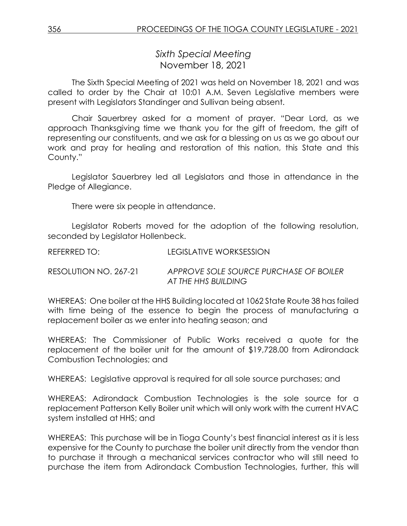*Sixth Special Meeting* November 18, 2021

The Sixth Special Meeting of 2021 was held on November 18, 2021 and was called to order by the Chair at 10:01 A.M. Seven Legislative members were present with Legislators Standinger and Sullivan being absent.

Chair Sauerbrey asked for a moment of prayer. "Dear Lord, as we approach Thanksgiving time we thank you for the gift of freedom, the gift of representing our constituents, and we ask for a blessing on us as we go about our work and pray for healing and restoration of this nation, this State and this County."

Legislator Sauerbrey led all Legislators and those in attendance in the Pledge of Allegiance.

There were six people in attendance.

Legislator Roberts moved for the adoption of the following resolution, seconded by Legislator Hollenbeck.

| REFERRED TO: | <b>LEGISLATIVE WORKSESSION</b> |
|--------------|--------------------------------|
|              |                                |

RESOLUTION NO. 267-21 *APPROVE SOLE SOURCE PURCHASE OF BOILER AT THE HHS BUILDING*

WHEREAS: One boiler at the HHS Building located at 1062 State Route 38 has failed with time being of the essence to begin the process of manufacturing a replacement boiler as we enter into heating season; and

WHEREAS: The Commissioner of Public Works received a quote for the replacement of the boiler unit for the amount of \$19,728.00 from Adirondack Combustion Technologies; and

WHEREAS: Legislative approval is required for all sole source purchases; and

WHEREAS: Adirondack Combustion Technologies is the sole source for a replacement Patterson Kelly Boiler unit which will only work with the current HVAC system installed at HHS; and

WHEREAS: This purchase will be in Tioga County's best financial interest as it is less expensive for the County to purchase the boiler unit directly from the vendor than to purchase it through a mechanical services contractor who will still need to purchase the item from Adirondack Combustion Technologies, further, this will